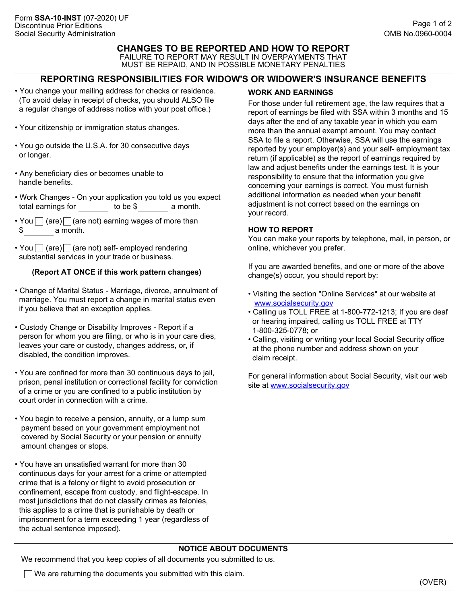# **CHANGES TO BE REPORTED AND HOW TO REPORT** FAILURE TO REPORT MAY RESULT IN OVERPAYMENTS THAT MUST BE REPAID, AND IN POSSIBLE MONETARY PENALTIES

## **REPORTING RESPONSIBILITIES FOR WIDOW'S OR WIDOWER'S INSURANCE BENEFITS**

- You change your mailing address for checks or residence. (To avoid delay in receipt of checks, you should ALSO file a regular change of address notice with your post office.)
- Your citizenship or immigration status changes.
- You go outside the U.S.A. for 30 consecutive days or longer.
- Any beneficiary dies or becomes unable to handle benefits.
- Work Changes On your application you told us you expect total earnings for to be \$ a month.
- You  $\Box$  (are)  $\Box$  (are not) earning wages of more than \$ a month.
- You  $\Box$  (are)  $\Box$  (are not) self- employed rendering substantial services in your trade or business.

### **(Report AT ONCE if this work pattern changes)**

- Change of Marital Status Marriage, divorce, annulment of marriage. You must report a change in marital status even if you believe that an exception applies.
- Custody Change or Disability Improves Report if a person for whom you are filing, or who is in your care dies, leaves your care or custody, changes address, or, if disabled, the condition improves.
- You are confined for more than 30 continuous days to jail, prison, penal institution or correctional facility for conviction of a crime or you are confined to a public institution by court order in connection with a crime.
- You begin to receive a pension, annuity, or a lump sum payment based on your government employment not covered by Social Security or your pension or annuity amount changes or stops.
- You have an unsatisfied warrant for more than 30 continuous days for your arrest for a crime or attempted crime that is a felony or flight to avoid prosecution or confinement, escape from custody, and flight-escape. In most jurisdictions that do not classify crimes as felonies, this applies to a crime that is punishable by death or imprisonment for a term exceeding 1 year (regardless of the actual sentence imposed).

### **WORK AND EARNINGS**

For those under full retirement age, the law requires that a report of earnings be filed with SSA within 3 months and 15 days after the end of any taxable year in which you earn more than the annual exempt amount. You may contact SSA to file a report. Otherwise, SSA will use the earnings reported by your employer(s) and your self- employment tax return (if applicable) as the report of earnings required by law and adjust benefits under the earnings test. It is your responsibility to ensure that the information you give concerning your earnings is correct. You must furnish additional information as needed when your benefit adjustment is not correct based on the earnings on your record.

#### **HOW TO REPORT**

You can make your reports by telephone, mail, in person, or online, whichever you prefer.

If you are awarded benefits, and one or more of the above change(s) occur, you should report by:

- Visiting the section "Online Services" at our website at <www.socialsecurity.gov>
- Calling us TOLL FREE at 1-800-772-1213; If you are deaf or hearing impaired, calling us TOLL FREE at TTY 1-800-325-0778; or
- Calling, visiting or writing your local Social Security office at the phone number and address shown on your claim receipt.

For general information about Social Security, visit our web site at <www.socialsecurity.gov>

#### **NOTICE ABOUT DOCUMENTS**

We recommend that you keep copies of all documents you submitted to us.

 $\Box$  We are returning the documents you submitted with this claim.